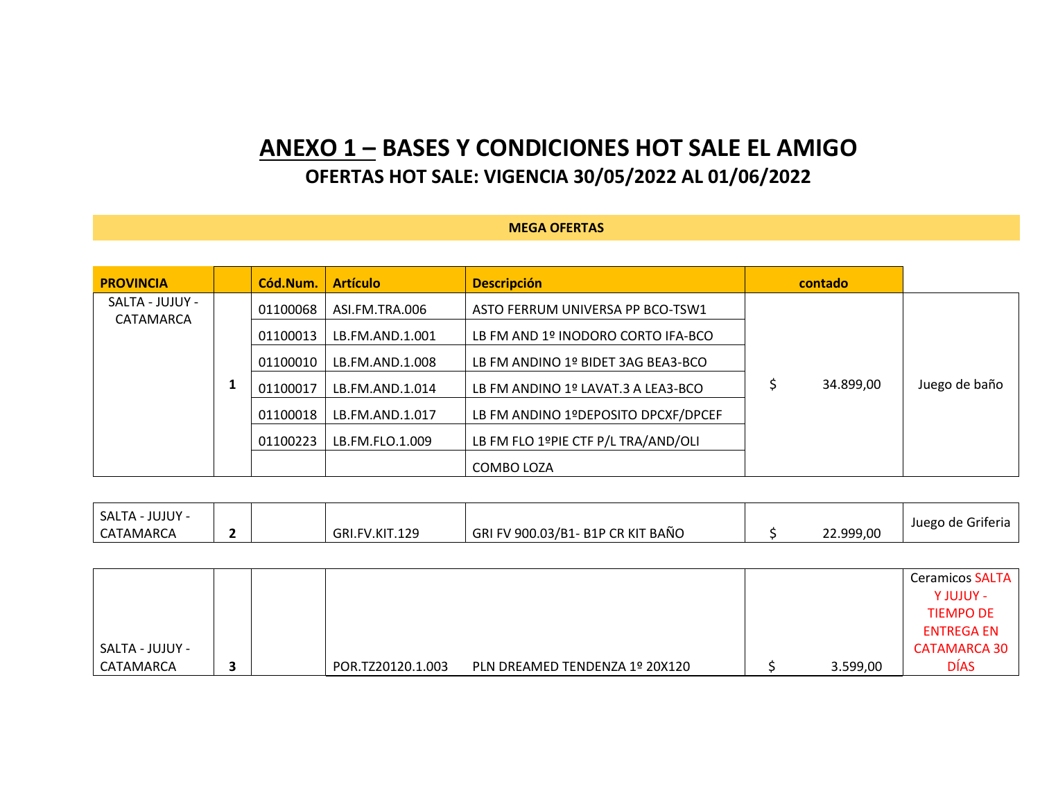## **ANEXO 1 – BASES Y CONDICIONES HOT SALE EL AMIGO OFERTAS HOT SALE: VIGENCIA 30/05/2022 AL 01/06/2022**

## **MEGA OFERTAS**

| <b>PROVINCIA</b>             | Cód.Num. | <b>Artículo</b> | <b>Descripción</b>                  | contado   |               |
|------------------------------|----------|-----------------|-------------------------------------|-----------|---------------|
| SALTA - JUJUY -<br>CATAMARCA | 01100068 | ASI.FM.TRA.006  | ASTO FERRUM UNIVERSA PP BCO-TSW1    |           |               |
|                              | 01100013 | LB.FM.AND.1.001 | LB FM AND 1º INODORO CORTO IFA-BCO  |           |               |
|                              | 01100010 | LB.FM.AND.1.008 | LB FM ANDINO 1º BIDET 3AG BEA3-BCO  |           |               |
|                              | 01100017 | LB.FM.AND.1.014 | LB FM ANDINO 1º LAVAT.3 A LEA3-BCO  | 34.899,00 | Juego de baño |
|                              | 01100018 | LB.FM.AND.1.017 | LB FM ANDINO 1ºDEPOSITO DPCXF/DPCEF |           |               |
|                              | 01100223 | LB.FM.FLO.1.009 | LB FM FLO 1ºPIE CTF P/L TRA/AND/OLI |           |               |
|                              |          |                 | COMBO LOZA                          |           |               |

| <b>JUJUY -</b><br>SALTA - |  |                |                                               |           | Juego de Griferia |
|---------------------------|--|----------------|-----------------------------------------------|-----------|-------------------|
| CATAMARCA                 |  | GRI.FV.KIT.129 | I FV 900.03/B1- B1P CR KIT BAÑO<br><b>GRI</b> | 22.999,00 |                   |

|                 |  |                   |                                |          | <b>Ceramicos SALTA</b> |
|-----------------|--|-------------------|--------------------------------|----------|------------------------|
|                 |  |                   |                                |          | - Y JUJUY -            |
|                 |  |                   |                                |          | <b>TIEMPO DE</b>       |
|                 |  |                   |                                |          | <b>ENTREGA EN</b>      |
| SALTA - JUJUY - |  |                   |                                |          | <b>CATAMARCA 30</b>    |
| CATAMARCA       |  | POR.TZ20120.1.003 | PLN DREAMED TENDENZA 1º 20X120 | 3.599,00 | <b>DÍAS</b>            |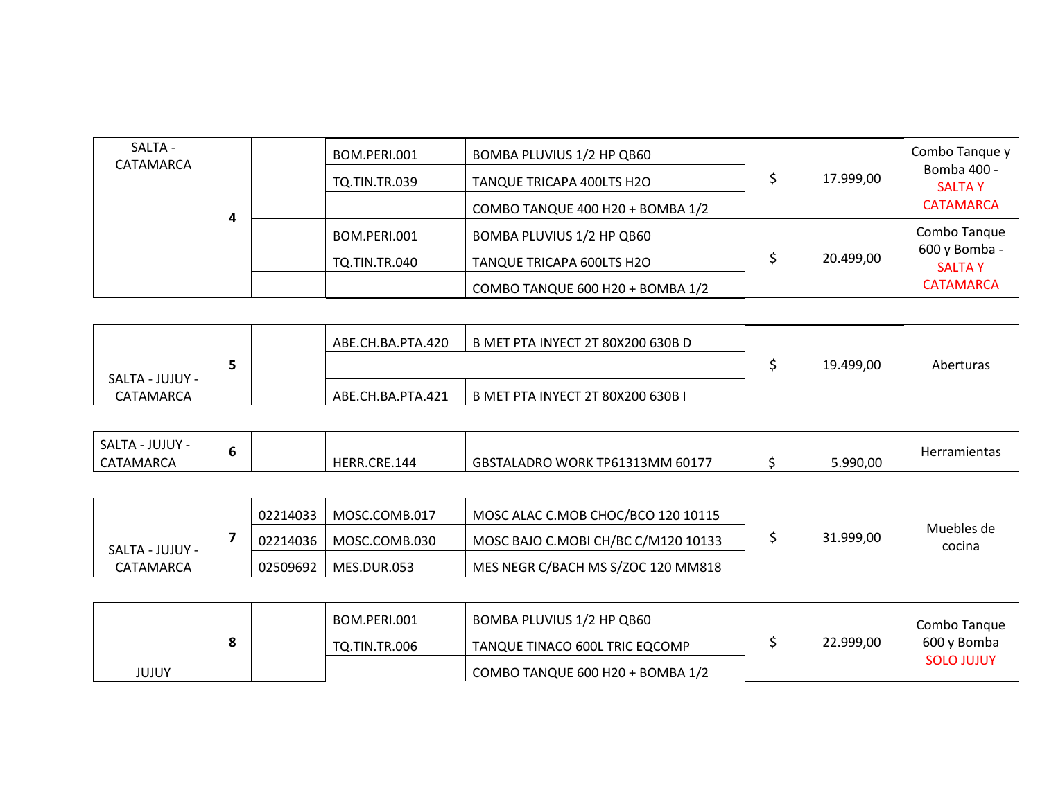| SALTA -<br>CATAMARCA | $\mathbf{u}$ | BOM.PERI.001<br><b>TQ.TIN.TR.039</b> | BOMBA PLUVIUS 1/2 HP QB60<br>TANQUE TRICAPA 400LTS H2O<br>COMBO TANQUE 400 H20 + BOMBA 1/2 | 17.999,00 | Combo Tanque y<br>Bomba 400 -<br><b>SALTAY</b><br><b>CATAMARCA</b> |
|----------------------|--------------|--------------------------------------|--------------------------------------------------------------------------------------------|-----------|--------------------------------------------------------------------|
|                      |              | BOM.PERI.001                         | BOMBA PLUVIUS 1/2 HP QB60                                                                  |           | Combo Tanque                                                       |
|                      |              | TO.TIN.TR.040                        | TANQUE TRICAPA 600LTS H2O                                                                  | 20.499,00 | 600 y Bomba -<br><b>SALTAY</b>                                     |
|                      |              |                                      | COMBO TANQUE 600 H20 + BOMBA 1/2                                                           |           | <b>CATAMARCA</b>                                                   |

|                              |  | ABE.CH.BA.PTA.420 | B MET PTA INYECT 2T 80X200 630B D | 19.499,00 | Aberturas |
|------------------------------|--|-------------------|-----------------------------------|-----------|-----------|
| SALTA - JUJUY -<br>CATAMARCA |  | ABE.CH.BA.PTA.421 | B MET PTA INYECT 2T 80X200 630B I |           |           |

| <b>JUJUY</b><br>SALTA - |  |                  |                                 |          | <b>Herramientas</b> |
|-------------------------|--|------------------|---------------------------------|----------|---------------------|
| CATAMARCA               |  | .CRE.144<br>HERR | GBSTALADRO WORK TP61313MM 60177 | 5.990,00 |                     |

|                 | 02214033 | MOSC.COMB.017 | MOSC ALAC C.MOB CHOC/BCO 120 10115  |           |                      |
|-----------------|----------|---------------|-------------------------------------|-----------|----------------------|
| SALTA - JUJUY - | 02214036 | MOSC.COMB.030 | MOSC BAJO C.MOBI CH/BC C/M120 10133 | 31.999,00 | Muebles de<br>cocina |
| CATAMARCA       | 02509692 | MES.DUR.053   | MES NEGR C/BACH MS S/ZOC 120 MM818  |           |                      |

|       |  | BOM.PERI.001  | BOMBA PLUVIUS 1/2 HP QB60        |           | Combo Tangue      |
|-------|--|---------------|----------------------------------|-----------|-------------------|
|       |  | TO.TIN.TR.006 | TANQUE TINACO 600L TRIC EQCOMP   | 22.999,00 | 600 y Bomba       |
| JUJUY |  |               | COMBO TANQUE 600 H20 + BOMBA 1/2 |           | <b>SOLO JUJUY</b> |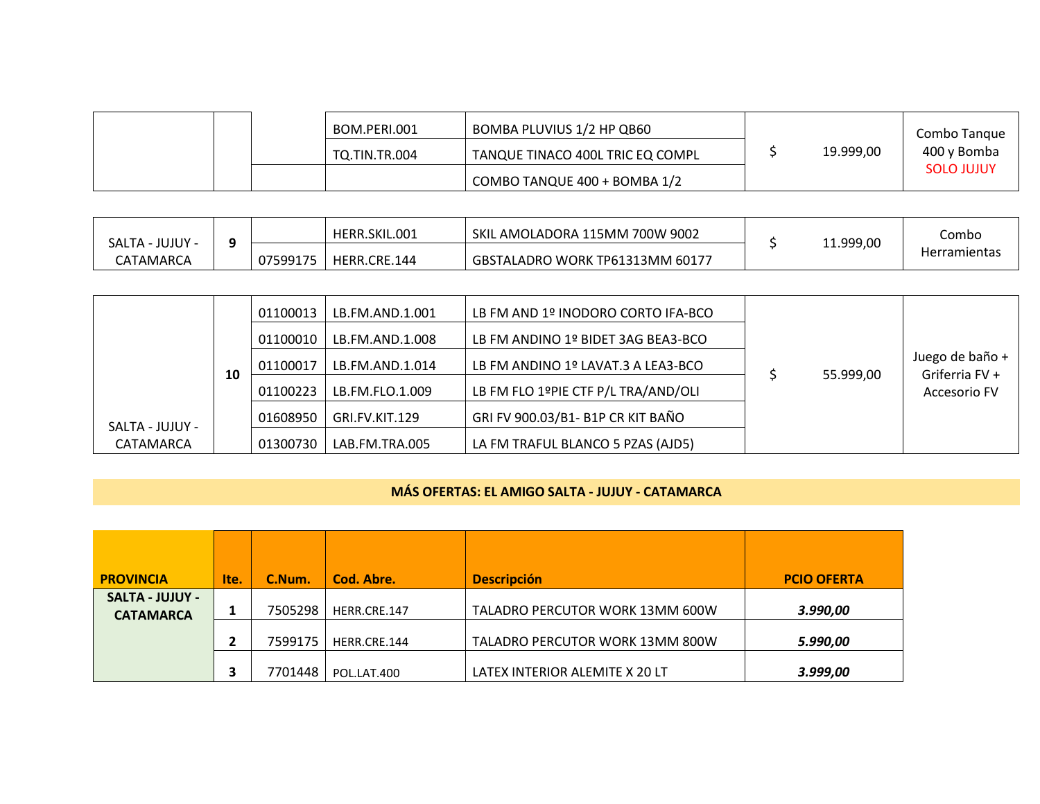|  | BOM.PERI.001  | BOMBA PLUVIUS 1/2 HP QB60        |           | Combo Tangue      |
|--|---------------|----------------------------------|-----------|-------------------|
|  | TO.TIN.TR.004 | TANQUE TINACO 400L TRIC EQ COMPL | 19.999,00 | 400 y Bomba       |
|  |               | COMBO TANQUE 400 + BOMBA 1/2     |           | <b>SOLO JUJUY</b> |

| JUJUY -<br>- ALTAد |                           | HERR.SKIL.001 | SKIL AMOLADORA 115MM 700W 9002  |          | Combo               |
|--------------------|---------------------------|---------------|---------------------------------|----------|---------------------|
| CATAMARCA          | 07599175<br>- - - - - - - | HERR.CRE.144  | GBSTALADRO WORK TP61313MM 60177 | 1.999,00 | <b>Herramientas</b> |

|                 |    | 01100013 | LB.FM.AND.1.001 | LB FM AND 1º INODORO CORTO IFA-BCO  |           |                                   |
|-----------------|----|----------|-----------------|-------------------------------------|-----------|-----------------------------------|
|                 |    | 01100010 | LB.FM.AND.1.008 | LB FM ANDINO 1º BIDET 3AG BEA3-BCO  |           |                                   |
|                 | 10 | 01100017 | LB.FM.AND.1.014 | LB FM ANDINO 1º LAVAT.3 A LEA3-BCO  | 55.999,00 | Juego de baño +<br>Griferria FV + |
|                 |    | 01100223 | LB.FM.FLO.1.009 | LB FM FLO 1ºPIE CTF P/L TRA/AND/OLI |           | Accesorio FV                      |
| SALTA - JUJUY - |    | 01608950 | GRI.FV.KIT.129  | GRI FV 900.03/B1- B1P CR KIT BAÑO   |           |                                   |
| CATAMARCA       |    | 01300730 | LAB.FM.TRA.005  | LA FM TRAFUL BLANCO 5 PZAS (AJD5)   |           |                                   |

## **MÁS OFERTAS: EL AMIGO SALTA - JUJUY - CATAMARCA**

| <b>PROVINCIA</b>                           | Ite. | C.Num.  | Cod. Abre.   | <b>Descripción</b>              | <b>PCIO OFERTA</b> |
|--------------------------------------------|------|---------|--------------|---------------------------------|--------------------|
| <b>SALTA - JUJUY -</b><br><b>CATAMARCA</b> |      | 7505298 | HERR.CRE.147 | TALADRO PERCUTOR WORK 13MM 600W | 3.990,00           |
|                                            |      | 7599175 | HERR.CRE.144 | TALADRO PERCUTOR WORK 13MM 800W | 5.990,00           |
|                                            |      | 7701448 | POL.LAT.400  | LATEX INTERIOR ALEMITE X 20 LT  | 3.999,00           |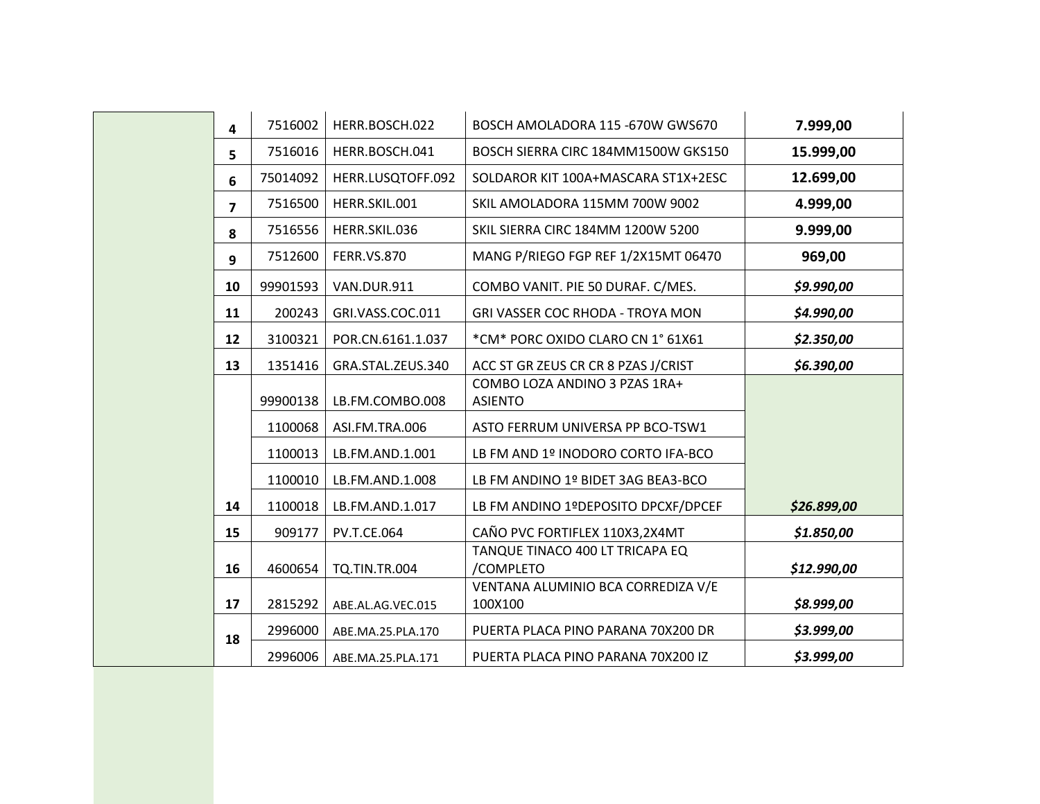| 4                       | 7516002  | HERR.BOSCH.022       | BOSCH AMOLADORA 115 -670W GWS670                | 7.999,00    |
|-------------------------|----------|----------------------|-------------------------------------------------|-------------|
| 5                       | 7516016  | HERR.BOSCH.041       | BOSCH SIERRA CIRC 184MM1500W GKS150             | 15.999,00   |
| 6                       | 75014092 | HERR.LUSQTOFF.092    | SOLDAROR KIT 100A+MASCARA ST1X+2ESC             | 12.699,00   |
| $\overline{\mathbf{z}}$ | 7516500  | HERR.SKIL.001        | SKIL AMOLADORA 115MM 700W 9002                  | 4.999,00    |
| 8                       | 7516556  | HERR.SKIL.036        | SKIL SIERRA CIRC 184MM 1200W 5200               | 9.999,00    |
| 9                       | 7512600  | <b>FERR.VS.870</b>   | MANG P/RIEGO FGP REF 1/2X15MT 06470             | 969,00      |
| 10                      | 99901593 | VAN.DUR.911          | COMBO VANIT. PIE 50 DURAF. C/MES.               | \$9.990,00  |
| 11                      | 200243   | GRI.VASS.COC.011     | <b>GRI VASSER COC RHODA - TROYA MON</b>         | \$4.990,00  |
| 12                      | 3100321  | POR.CN.6161.1.037    | *CM* PORC OXIDO CLARO CN 1° 61X61               | \$2.350,00  |
| 13                      | 1351416  | GRA.STAL.ZEUS.340    | ACC ST GR ZEUS CR CR 8 PZAS J/CRIST             | \$6.390,00  |
|                         | 99900138 | LB.FM.COMBO.008      | COMBO LOZA ANDINO 3 PZAS 1RA+<br><b>ASIENTO</b> |             |
|                         | 1100068  | ASI.FM.TRA.006       | ASTO FERRUM UNIVERSA PP BCO-TSW1                |             |
|                         | 1100013  | LB.FM.AND.1.001      | LB FM AND 1º INODORO CORTO IFA-BCO              |             |
|                         | 1100010  | LB.FM.AND.1.008      | LB FM ANDINO 1º BIDET 3AG BEA3-BCO              |             |
| 14                      | 1100018  | LB.FM.AND.1.017      | LB FM ANDINO 1ºDEPOSITO DPCXF/DPCEF             | \$26.899,00 |
| 15                      | 909177   | <b>PV.T.CE.064</b>   | CAÑO PVC FORTIFLEX 110X3,2X4MT                  | \$1.850,00  |
| 16                      | 4600654  | <b>TQ.TIN.TR.004</b> | TANQUE TINACO 400 LT TRICAPA EQ<br>/COMPLETO    | \$12.990,00 |
| 17                      | 2815292  | ABE.AL.AG.VEC.015    | VENTANA ALUMINIO BCA CORREDIZA V/E<br>100X100   | \$8.999,00  |
| 18                      | 2996000  | ABE.MA.25.PLA.170    | PUERTA PLACA PINO PARANA 70X200 DR              | \$3.999,00  |
|                         | 2996006  | ABE.MA.25.PLA.171    | PUERTA PLACA PINO PARANA 70X200 IZ              | \$3.999,00  |